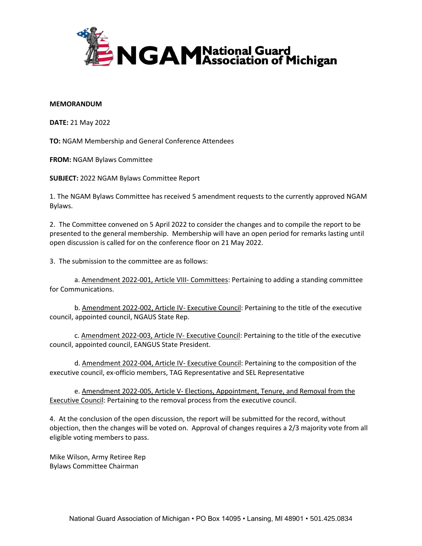

#### **MEMORANDUM**

**DATE:** 21 May 2022

**TO:** NGAM Membership and General Conference Attendees

**FROM:** NGAM Bylaws Committee

**SUBJECT:** 2022 NGAM Bylaws Committee Report

1. The NGAM Bylaws Committee has received 5 amendment requests to the currently approved NGAM Bylaws.

2. The Committee convened on 5 April 2022 to consider the changes and to compile the report to be presented to the general membership. Membership will have an open period for remarks lasting until open discussion is called for on the conference floor on 21 May 2022.

3. The submission to the committee are as follows:

a. Amendment 2022-001, Article VIII- Committees: Pertaining to adding a standing committee for Communications.

b. Amendment 2022-002, Article IV- Executive Council: Pertaining to the title of the executive council, appointed council, NGAUS State Rep.

c. Amendment 2022-003, Article IV- Executive Council: Pertaining to the title of the executive council, appointed council, EANGUS State President.

d. Amendment 2022-004, Article IV- Executive Council: Pertaining to the composition of the executive council, ex-officio members, TAG Representative and SEL Representative

e. Amendment 2022-005, Article V- Elections, Appointment, Tenure, and Removal from the Executive Council: Pertaining to the removal process from the executive council.

4. At the conclusion of the open discussion, the report will be submitted for the record, without objection, then the changes will be voted on. Approval of changes requires a 2/3 majority vote from all eligible voting members to pass.

Mike Wilson, Army Retiree Rep Bylaws Committee Chairman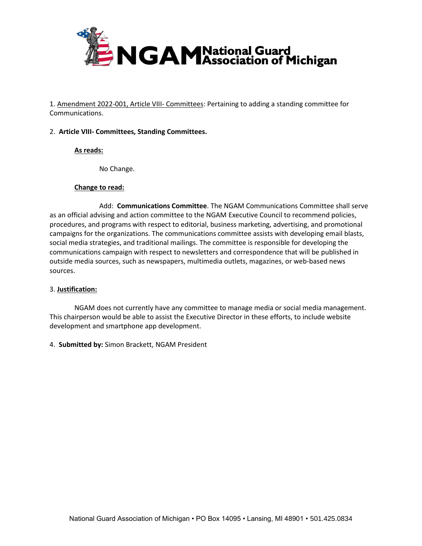

1. Amendment 2022-001, Article VIII- Committees: Pertaining to adding a standing committee for Communications.

### 2. **Article VIII- Committees, Standing Committees.**

**As reads:**

No Change.

#### **Change to read:**

Add: **Communications Committee**. The NGAM Communications Committee shall serve as an official advising and action committee to the NGAM Executive Council to recommend policies, procedures, and programs with respect to editorial, business marketing, advertising, and promotional campaigns for the organizations. The communications committee assists with developing email blasts, social media strategies, and traditional mailings. The committee is responsible for developing the communications campaign with respect to newsletters and correspondence that will be published in outside media sources, such as newspapers, multimedia outlets, magazines, or web-based news sources.

#### 3. **Justification:**

NGAM does not currently have any committee to manage media or social media management. This chairperson would be able to assist the Executive Director in these efforts, to include website development and smartphone app development.

4. **Submitted by:** Simon Brackett, NGAM President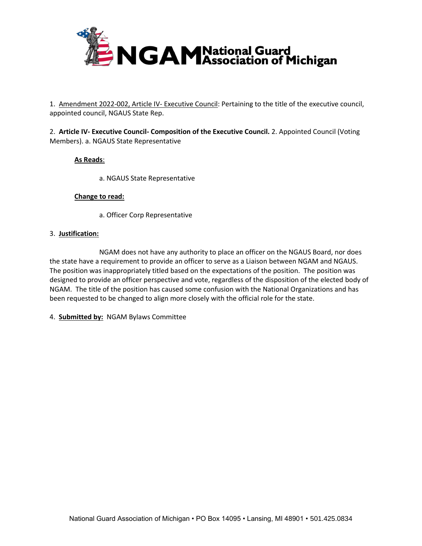

1. Amendment 2022-002, Article IV- Executive Council: Pertaining to the title of the executive council, appointed council, NGAUS State Rep.

2. **Article IV- Executive Council- Composition of the Executive Council.** 2. Appointed Council (Voting Members). a. NGAUS State Representative

## **As Reads**:

a. NGAUS State Representative

### **Change to read:**

a. Officer Corp Representative

### 3. **Justification:**

NGAM does not have any authority to place an officer on the NGAUS Board, nor does the state have a requirement to provide an officer to serve as a Liaison between NGAM and NGAUS. The position was inappropriately titled based on the expectations of the position. The position was designed to provide an officer perspective and vote, regardless of the disposition of the elected body of NGAM. The title of the position has caused some confusion with the National Organizations and has been requested to be changed to align more closely with the official role for the state.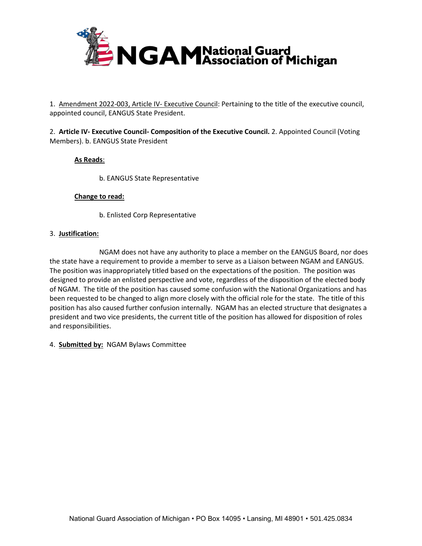

1. Amendment 2022-003, Article IV- Executive Council: Pertaining to the title of the executive council, appointed council, EANGUS State President.

2. **Article IV- Executive Council- Composition of the Executive Council.** 2. Appointed Council (Voting Members). b. EANGUS State President

## **As Reads**:

b. EANGUS State Representative

### **Change to read:**

b. Enlisted Corp Representative

### 3. **Justification:**

NGAM does not have any authority to place a member on the EANGUS Board, nor does the state have a requirement to provide a member to serve as a Liaison between NGAM and EANGUS. The position was inappropriately titled based on the expectations of the position. The position was designed to provide an enlisted perspective and vote, regardless of the disposition of the elected body of NGAM. The title of the position has caused some confusion with the National Organizations and has been requested to be changed to align more closely with the official role for the state. The title of this position has also caused further confusion internally. NGAM has an elected structure that designates a president and two vice presidents, the current title of the position has allowed for disposition of roles and responsibilities.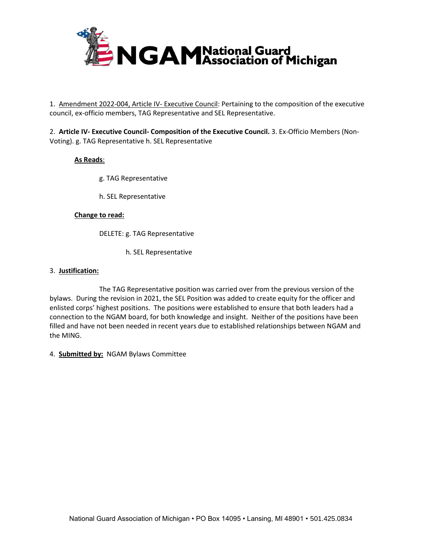

1. Amendment 2022-004, Article IV- Executive Council: Pertaining to the composition of the executive council, ex-officio members, TAG Representative and SEL Representative.

2. **Article IV- Executive Council- Composition of the Executive Council.** 3. Ex-Officio Members (Non-Voting). g. TAG Representative h. SEL Representative

## **As Reads**:

- g. TAG Representative
- h. SEL Representative

### **Change to read:**

DELETE: g. TAG Representative

h. SEL Representative

#### 3. **Justification:**

The TAG Representative position was carried over from the previous version of the bylaws. During the revision in 2021, the SEL Position was added to create equity for the officer and enlisted corps' highest positions. The positions were established to ensure that both leaders had a connection to the NGAM board, for both knowledge and insight. Neither of the positions have been filled and have not been needed in recent years due to established relationships between NGAM and the MING.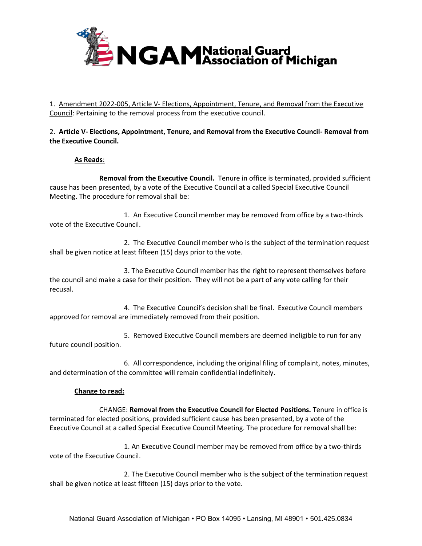

1. Amendment 2022-005, Article V- Elections, Appointment, Tenure, and Removal from the Executive Council: Pertaining to the removal process from the executive council.

## 2. **Article V- Elections, Appointment, Tenure, and Removal from the Executive Council- Removal from the Executive Council.**

## **As Reads**:

**Removal from the Executive Council.** Tenure in office is terminated, provided sufficient cause has been presented, by a vote of the Executive Council at a called Special Executive Council Meeting. The procedure for removal shall be:

1. An Executive Council member may be removed from office by a two-thirds vote of the Executive Council.

2. The Executive Council member who is the subject of the termination request shall be given notice at least fifteen (15) days prior to the vote.

3. The Executive Council member has the right to represent themselves before the council and make a case for their position. They will not be a part of any vote calling for their recusal.

4. The Executive Council's decision shall be final. Executive Council members approved for removal are immediately removed from their position.

5. Removed Executive Council members are deemed ineligible to run for any future council position.

6. All correspondence, including the original filing of complaint, notes, minutes, and determination of the committee will remain confidential indefinitely.

# **Change to read:**

CHANGE: **Removal from the Executive Council for Elected Positions.** Tenure in office is terminated for elected positions, provided sufficient cause has been presented, by a vote of the Executive Council at a called Special Executive Council Meeting. The procedure for removal shall be:

1. An Executive Council member may be removed from office by a two-thirds vote of the Executive Council.

2. The Executive Council member who is the subject of the termination request shall be given notice at least fifteen (15) days prior to the vote.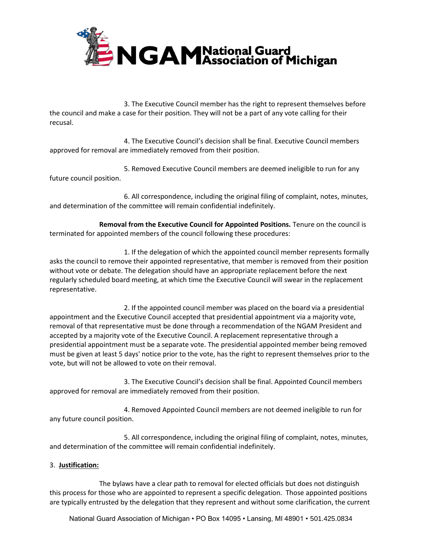

3. The Executive Council member has the right to represent themselves before the council and make a case for their position. They will not be a part of any vote calling for their recusal.

4. The Executive Council's decision shall be final. Executive Council members approved for removal are immediately removed from their position.

5. Removed Executive Council members are deemed ineligible to run for any future council position.

6. All correspondence, including the original filing of complaint, notes, minutes, and determination of the committee will remain confidential indefinitely.

**Removal from the Executive Council for Appointed Positions.** Tenure on the council is terminated for appointed members of the council following these procedures:

1. If the delegation of which the appointed council member represents formally asks the council to remove their appointed representative, that member is removed from their position without vote or debate. The delegation should have an appropriate replacement before the next regularly scheduled board meeting, at which time the Executive Council will swear in the replacement representative.

2. If the appointed council member was placed on the board via a presidential appointment and the Executive Council accepted that presidential appointment via a majority vote, removal of that representative must be done through a recommendation of the NGAM President and accepted by a majority vote of the Executive Council. A replacement representative through a presidential appointment must be a separate vote. The presidential appointed member being removed must be given at least 5 days' notice prior to the vote, has the right to represent themselves prior to the vote, but will not be allowed to vote on their removal.

3. The Executive Council's decision shall be final. Appointed Council members approved for removal are immediately removed from their position.

4. Removed Appointed Council members are not deemed ineligible to run for any future council position.

5. All correspondence, including the original filing of complaint, notes, minutes, and determination of the committee will remain confidential indefinitely.

# 3. **Justification:**

The bylaws have a clear path to removal for elected officials but does not distinguish this process for those who are appointed to represent a specific delegation. Those appointed positions are typically entrusted by the delegation that they represent and without some clarification, the current

National Guard Association of Michigan • PO Box 14095 • Lansing, MI 48901 • 501.425.0834